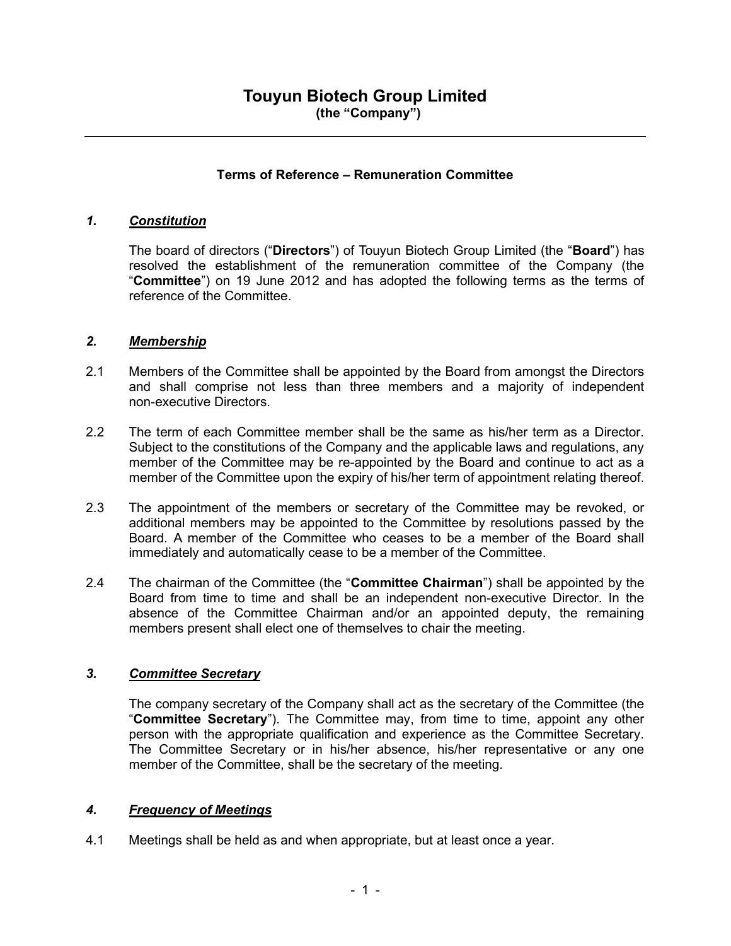### Terms of Reference – Remuneration Committee

### 1. Constitution

The board of directors ("Directors") of Touyun Biotech Group Limited (the "Board") has resolved the establishment of the remuneration committee of the Company (the "Committee") on 19 June 2012 and has adopted the following terms as the terms of reference of the Committee.

#### 2. Membership

- 2.1 Members of the Committee shall be appointed by the Board from amongst the Directors and shall comprise not less than three members and a majority of independent non-executive Directors.
- 2.2 The term of each Committee member shall be the same as his/her term as a Director. Subject to the constitutions of the Company and the applicable laws and regulations, any member of the Committee may be re-appointed by the Board and continue to act as a member of the Committee upon the expiry of his/her term of appointment relating thereof.
- 2.3 The appointment of the members or secretary of the Committee may be revoked, or additional members may be appointed to the Committee by resolutions passed by the Board. A member of the Committee who ceases to be a member of the Board shall immediately and automatically cease to be a member of the Committee.
- 2.4 The chairman of the Committee (the "Committee Chairman") shall be appointed by the Board from time to time and shall be an independent non-executive Director. In the absence of the Committee Chairman and/or an appointed deputy, the remaining members present shall elect one of themselves to chair the meeting.

### 3. Committee Secretary

The company secretary of the Company shall act as the secretary of the Committee (the "Committee Secretary"). The Committee may, from time to time, appoint any other person with the appropriate qualification and experience as the Committee Secretary. The Committee Secretary or in his/her absence, his/her representative or any one member of the Committee, shall be the secretary of the meeting.

### 4. Frequency of Meetings

4.1 Meetings shall be held as and when appropriate, but at least once a year.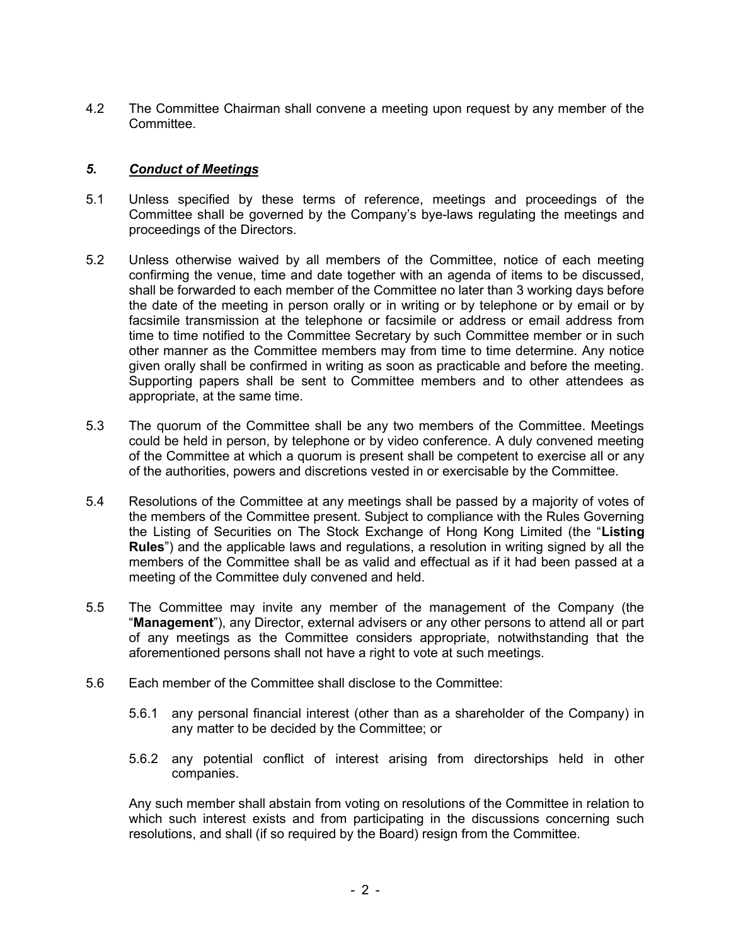4.2 The Committee Chairman shall convene a meeting upon request by any member of the Committee.

### 5. Conduct of Meetings

- 5.1 Unless specified by these terms of reference, meetings and proceedings of the Committee shall be governed by the Company's bye-laws regulating the meetings and proceedings of the Directors.
- 5.2 Unless otherwise waived by all members of the Committee, notice of each meeting confirming the venue, time and date together with an agenda of items to be discussed, shall be forwarded to each member of the Committee no later than 3 working days before the date of the meeting in person orally or in writing or by telephone or by email or by facsimile transmission at the telephone or facsimile or address or email address from time to time notified to the Committee Secretary by such Committee member or in such other manner as the Committee members may from time to time determine. Any notice given orally shall be confirmed in writing as soon as practicable and before the meeting. Supporting papers shall be sent to Committee members and to other attendees as appropriate, at the same time.
- 5.3 The quorum of the Committee shall be any two members of the Committee. Meetings could be held in person, by telephone or by video conference. A duly convened meeting of the Committee at which a quorum is present shall be competent to exercise all or any of the authorities, powers and discretions vested in or exercisable by the Committee.
- 5.4 Resolutions of the Committee at any meetings shall be passed by a majority of votes of the members of the Committee present. Subject to compliance with the Rules Governing the Listing of Securities on The Stock Exchange of Hong Kong Limited (the "Listing Rules") and the applicable laws and regulations, a resolution in writing signed by all the members of the Committee shall be as valid and effectual as if it had been passed at a meeting of the Committee duly convened and held.
- 5.5 The Committee may invite any member of the management of the Company (the "Management"), any Director, external advisers or any other persons to attend all or part of any meetings as the Committee considers appropriate, notwithstanding that the aforementioned persons shall not have a right to vote at such meetings.
- 5.6 Each member of the Committee shall disclose to the Committee:
	- 5.6.1 any personal financial interest (other than as a shareholder of the Company) in any matter to be decided by the Committee; or
	- 5.6.2 any potential conflict of interest arising from directorships held in other companies.

Any such member shall abstain from voting on resolutions of the Committee in relation to which such interest exists and from participating in the discussions concerning such resolutions, and shall (if so required by the Board) resign from the Committee.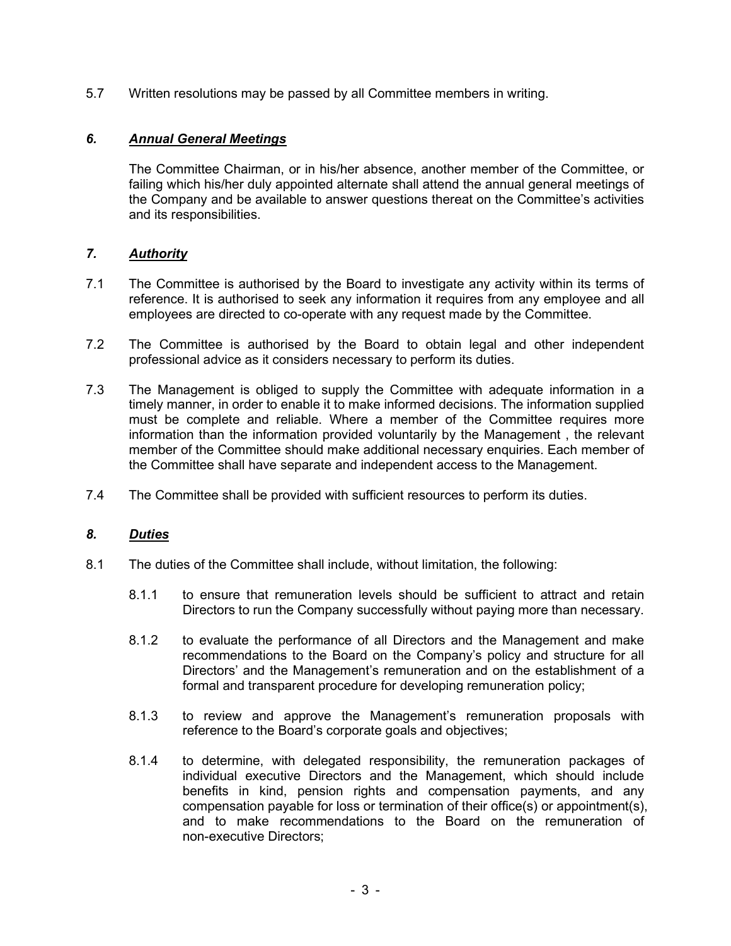5.7 Written resolutions may be passed by all Committee members in writing.

# 6. Annual General Meetings

The Committee Chairman, or in his/her absence, another member of the Committee, or failing which his/her duly appointed alternate shall attend the annual general meetings of the Company and be available to answer questions thereat on the Committee's activities and its responsibilities.

## 7. Authority

- 7.1 The Committee is authorised by the Board to investigate any activity within its terms of reference. It is authorised to seek any information it requires from any employee and all employees are directed to co-operate with any request made by the Committee.
- 7.2 The Committee is authorised by the Board to obtain legal and other independent professional advice as it considers necessary to perform its duties.
- 7.3 The Management is obliged to supply the Committee with adequate information in a timely manner, in order to enable it to make informed decisions. The information supplied must be complete and reliable. Where a member of the Committee requires more information than the information provided voluntarily by the Management , the relevant member of the Committee should make additional necessary enquiries. Each member of the Committee shall have separate and independent access to the Management.
- 7.4 The Committee shall be provided with sufficient resources to perform its duties.

### 8. Duties

- 8.1 The duties of the Committee shall include, without limitation, the following:
	- 8.1.1 to ensure that remuneration levels should be sufficient to attract and retain Directors to run the Company successfully without paying more than necessary.
	- 8.1.2 to evaluate the performance of all Directors and the Management and make recommendations to the Board on the Company's policy and structure for all Directors' and the Management's remuneration and on the establishment of a formal and transparent procedure for developing remuneration policy;
	- 8.1.3 to review and approve the Management's remuneration proposals with reference to the Board's corporate goals and objectives;
	- 8.1.4 to determine, with delegated responsibility, the remuneration packages of individual executive Directors and the Management, which should include benefits in kind, pension rights and compensation payments, and any compensation payable for loss or termination of their office(s) or appointment(s), and to make recommendations to the Board on the remuneration of non-executive Directors;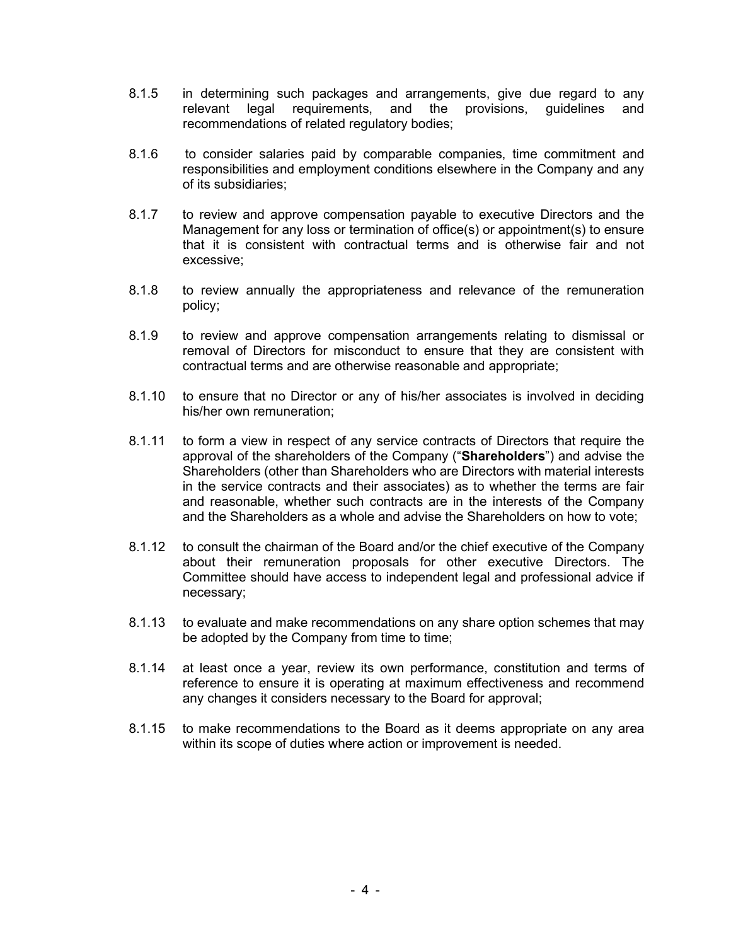- 8.1.5 in determining such packages and arrangements, give due regard to any relevant legal requirements, and the provisions, guidelines and recommendations of related regulatory bodies;
- 8.1.6 to consider salaries paid by comparable companies, time commitment and responsibilities and employment conditions elsewhere in the Company and any of its subsidiaries;
- 8.1.7 to review and approve compensation payable to executive Directors and the Management for any loss or termination of office(s) or appointment(s) to ensure that it is consistent with contractual terms and is otherwise fair and not excessive;
- 8.1.8 to review annually the appropriateness and relevance of the remuneration policy;
- 8.1.9 to review and approve compensation arrangements relating to dismissal or removal of Directors for misconduct to ensure that they are consistent with contractual terms and are otherwise reasonable and appropriate;
- 8.1.10 to ensure that no Director or any of his/her associates is involved in deciding his/her own remuneration;
- 8.1.11 to form a view in respect of any service contracts of Directors that require the approval of the shareholders of the Company ("Shareholders") and advise the Shareholders (other than Shareholders who are Directors with material interests in the service contracts and their associates) as to whether the terms are fair and reasonable, whether such contracts are in the interests of the Company and the Shareholders as a whole and advise the Shareholders on how to vote;
- 8.1.12 to consult the chairman of the Board and/or the chief executive of the Company about their remuneration proposals for other executive Directors. The Committee should have access to independent legal and professional advice if necessary;
- 8.1.13 to evaluate and make recommendations on any share option schemes that may be adopted by the Company from time to time;
- 8.1.14 at least once a year, review its own performance, constitution and terms of reference to ensure it is operating at maximum effectiveness and recommend any changes it considers necessary to the Board for approval;
- 8.1.15 to make recommendations to the Board as it deems appropriate on any area within its scope of duties where action or improvement is needed.